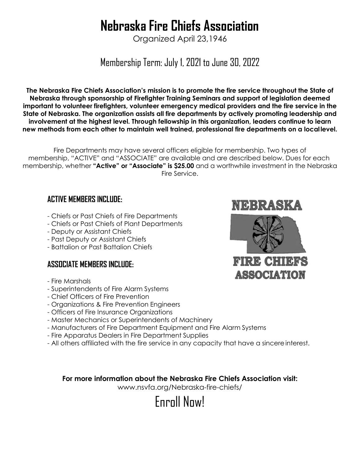# **Nebraska Fire Chiefs Association**

Organized April 23,1946

Membership Term: July 1, 2021 to June 30, 2022

**The Nebraska Fire Chiefs Association's mission is to promote the fire service throughout the State of Nebraska through sponsorship of Firefighter Training Seminars and support of legislation deemed important to volunteer firefighters, volunteer emergency medical providers and the fire service in the State of Nebraska. The organization assists all fire departments by actively promoting leadership and involvement at the highest level. Through fellowship in this organization, leaders continue to learn new methods from each other to maintain well trained, professional fire departments on a local level.**

Fire Departments may have several officers eligible for membership. Two types of membership, "ACTIVE" and "ASSOCIATE" are available and are described below. Dues for each membership, whether **"Active" or "Associate" is \$25.00** and a worthwhile investment in the Nebraska Fire Service.

### **ACTIVE MEMBERS INCLUDE:**

- Chiefs or Past Chiefs of Fire Departments
- Chiefs or Past Chiefs of Plant Departments
- Deputy or Assistant Chiefs
- Past Deputy or Assistant Chiefs
- Battalion or Past Battalion Chiefs

#### **ASSOCIATE MEMBERS INCLUDE:**

- Fire Marshals
- Superintendents of Fire Alarm Systems
- Chief Officers of Fire Prevention
- Organizations & Fire Prevention Engineers
- Officers of Fire Insurance Organizations
- Master Mechanics or Superintendents of Machinery
- Manufacturers of Fire Department Equipment and Fire Alarm Systems
- Fire Apparatus Dealers in Fire Department Supplies
- All others affiliated with the fire service in any capacity that have a sincereinterest.

**For more information about the Nebraska Fire Chiefs Association visit:**  [www.nsvfa.org/Nebraska-fire-chiefs/](http://www.nsvfa.org/Nebraska-fire-chiefs/)





NEBRASKA

## **FIRE CHIEFS ASSOCIATION**